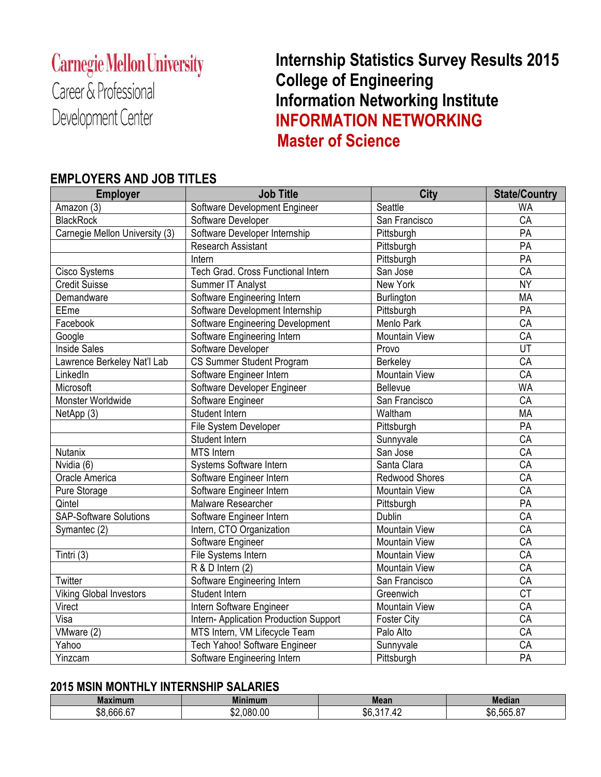# **Carnegie Mellon University**

Career & Professional Development Center

 **Internship Statistics Survey Results 2015 College of Engineering Information Networking Institute INFORMATION NETWORKING Master of Science**

### **EMPLOYERS AND JOB TITLES**

| <b>Employer</b>                | <b>Job Title</b>                       | City                 | <b>State/Country</b> |
|--------------------------------|----------------------------------------|----------------------|----------------------|
| Amazon (3)                     | Software Development Engineer          | Seattle              | <b>WA</b>            |
| <b>BlackRock</b>               | Software Developer                     | San Francisco        | CA                   |
| Carnegie Mellon University (3) | Software Developer Internship          | Pittsburgh           | PA                   |
|                                | Research Assistant                     | Pittsburgh           | $\overline{PA}$      |
|                                | Intern                                 | Pittsburgh           | PA                   |
| Cisco Systems                  | Tech Grad. Cross Functional Intern     | San Jose             | CA                   |
| <b>Credit Suisse</b>           | Summer IT Analyst                      | New York             | <b>NY</b>            |
| Demandware                     | Software Engineering Intern            | Burlington           | <b>MA</b>            |
| EEme                           | Software Development Internship        | Pittsburgh           | PA                   |
| Facebook                       | Software Engineering Development       | Menlo Park           | CA                   |
| Google                         | Software Engineering Intern            | Mountain View        | $\overline{CA}$      |
| <b>Inside Sales</b>            | Software Developer                     | Provo                | UT                   |
| Lawrence Berkeley Nat'l Lab    | CS Summer Student Program              | Berkeley             | CA                   |
| LinkedIn                       | Software Engineer Intern               | <b>Mountain View</b> | CA                   |
| Microsoft                      | Software Developer Engineer            | Bellevue             | <b>WA</b>            |
| Monster Worldwide              | Software Engineer                      | San Francisco        | CA                   |
| NetApp (3)                     | Student Intern                         | Waltham              | <b>MA</b>            |
|                                | File System Developer                  | Pittsburgh           | PA                   |
|                                | Student Intern                         | Sunnyvale            | CA                   |
| Nutanix                        | <b>MTS</b> Intern                      | San Jose             | CA                   |
| Nvidia (6)                     | Systems Software Intern                | Santa Clara          | CA                   |
| Oracle America                 | Software Engineer Intern               | Redwood Shores       | CA                   |
| Pure Storage                   | Software Engineer Intern               | <b>Mountain View</b> | CA                   |
| Qintel                         | Malware Researcher                     | Pittsburgh           | PA                   |
| <b>SAP-Software Solutions</b>  | Software Engineer Intern               | <b>Dublin</b>        | CA                   |
| Symantec (2)                   | Intern, CTO Organization               | <b>Mountain View</b> | CA                   |
|                                | Software Engineer                      | <b>Mountain View</b> | CA                   |
| Tintri (3)                     | File Systems Intern                    | <b>Mountain View</b> | $\overline{CA}$      |
|                                | R & D Intern (2)                       | <b>Mountain View</b> | $\overline{CA}$      |
| Twitter                        | Software Engineering Intern            | San Francisco        | CA                   |
| <b>Viking Global Investors</b> | Student Intern                         | Greenwich            | <b>CT</b>            |
| Virect                         | Intern Software Engineer               | Mountain View        | CA                   |
| Visa                           | Intern- Application Production Support | <b>Foster City</b>   | $\overline{CA}$      |
| VMware (2)                     | MTS Intern, VM Lifecycle Team          | Palo Alto            | CA                   |
| Yahoo                          | Tech Yahoo! Software Engineer          | Sunnyvale            | $\overline{CA}$      |
| Yinzcam                        | Software Engineering Intern            | Pittsburgh           | $\overline{PA}$      |

### **2015 MSIN MONTHLY INTERNSHIP SALARIES**

| <b>Maximum</b>                              | <b>Minim</b><br>mum.<br>----------- | <b>Mean</b>         | Median                      |
|---------------------------------------------|-------------------------------------|---------------------|-----------------------------|
| $\sim$ $\sim$ $\sim$<br>ሖለ<br>.bbb.b7<br>აი | .080.00<br>ጦጣ<br>∿D∠.               | $-04-$<br>ሶሮ<br>.hr | $R = 0$<br>ሖ ^<br>\$6,565.8 |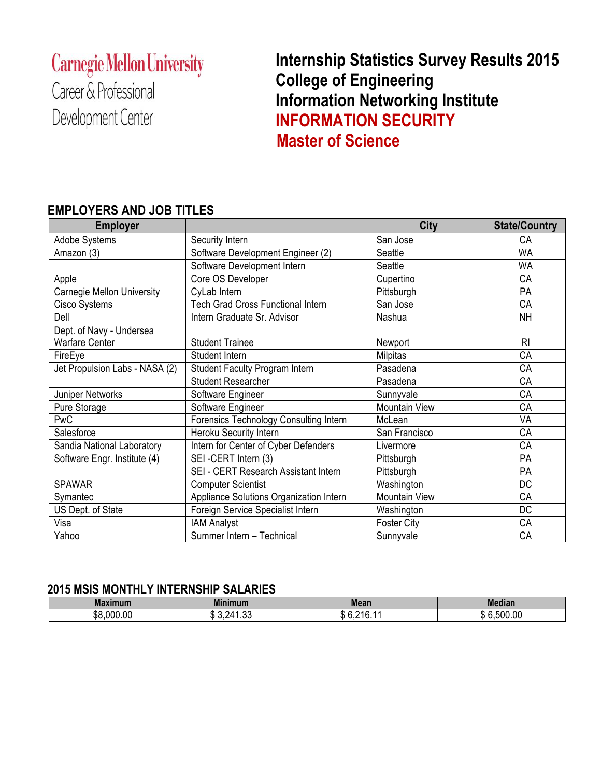# **Carnegie Mellon University**

Career & Professional Development Center

# **Internship Statistics Survey Results 2015 College of Engineering Information Networking Institute INFORMATION SECURITY Master of Science**

#### **Employer City State/Country** Adobe Systems Security Intern Security Internal Security Internal San Jose Systems CA Amazon (3) Software Development Engineer (2) Seattle Seattle Seattle Structure WA Software Development Intern Seattle Seattle Seattle Apple Core OS Developer Cupertino CA Carnegie Mellon University CyLab Intern Pittsburgh Pittsburgh PA Cisco Systems Tech Grad Cross Functional Intern San Jose Systems San Jose CA Dell **Intern Graduate Sr. Advisor** Nashua NH Dept. of Navy - Undersea Warfare Center **New 2008** Student Trainee **Newport** Newport RI FireEye | Student Intern | Milpitas CA Jet Propulsion Labs - NASA (2) Student Faculty Program Intern Pasadena Pasadena Pasadena Student Researcher **Pasadena** Pasadena Pasadena Pasadena Pasadena Pasadena Pasadena Pasadena Pasadena Pasadena Pasa Juniper Networks Software Engineer Sunnyvale Sunnyvale CA Pure Storage The Software Engineer November 2016 | Mountain View November 2016 PwC **Forensics Technology Consulting Intern** McLean McLean VA Salesforce **Heroku Security Intern San Francisco** CA Sandia National Laboratory | Intern for Center of Cyber Defenders | Livermore | CA Software Engr. Institute (4) | SEI -CERT Intern (3) | Pittsburgh | Pittsburgh | PA SEI - CERT Research Assistant Intern Pittsburgh PA SPAWAR Computer Scientist Washington Number 30 Symantec Appliance Solutions Organization Intern Mountain View CA<br>
US Dept. of State Foreign Service Specialist Intern Washington DC Foreign Service Specialist Intern Washington Number 3 DC Visa IAM Analyst Foster City CA Yahoo Summer Intern – Technical Sunnyvale Sunnyvale CA

### **EMPLOYERS AND JOB TITLES**

#### **2015 MSIS MONTHLY INTERNSHIP SALARIES**

| <b>Maximum</b> | <b>Minimum</b>                           | <b>Mean</b> | Mediar                |
|----------------|------------------------------------------|-------------|-----------------------|
| \$8,000.00     | $\sim$<br>ົ<br>n,<br>74<br>ے.ں ن<br>⊍ט.ו | 01C<br>. .  | 500.00<br>,,,<br>- 13 |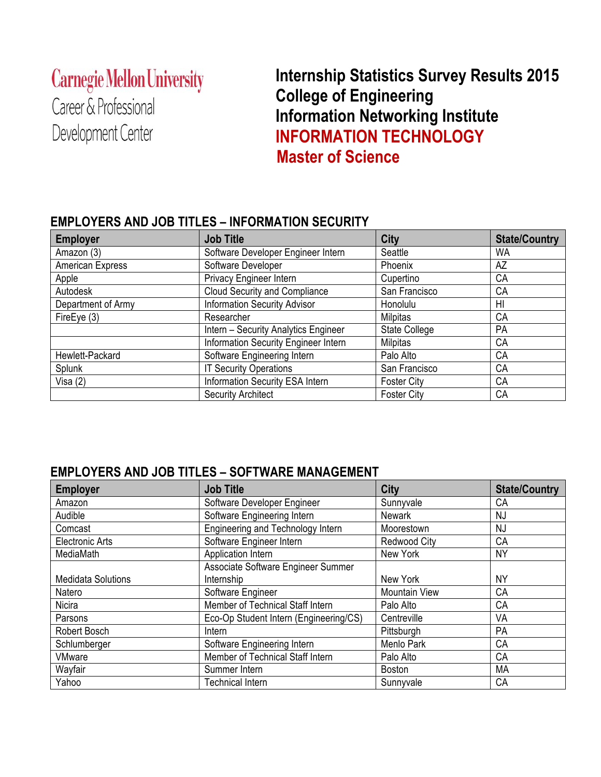# **Carnegie Mellon University**

Career & Professional Development Center

# **Internship Statistics Survey Results 2015 College of Engineering Information Networking Institute INFORMATION TECHNOLOGY Master of Science**

### **EMPLOYERS AND JOB TITLES – INFORMATION SECURITY**

| <b>Employer</b>    | <b>Job Title</b>                     | City                 | <b>State/Country</b> |
|--------------------|--------------------------------------|----------------------|----------------------|
| Amazon (3)         | Software Developer Engineer Intern   | Seattle              | WA                   |
| American Express   | Software Developer                   | Phoenix              | AZ                   |
| Apple              | Privacy Engineer Intern              | Cupertino            | <b>CA</b>            |
| Autodesk           | <b>Cloud Security and Compliance</b> | San Francisco        | <b>CA</b>            |
| Department of Army | <b>Information Security Advisor</b>  | Honolulu             | HI                   |
| FireEye (3)        | Researcher                           | <b>Milpitas</b>      | СA                   |
|                    | Intern - Security Analytics Engineer | <b>State College</b> | PA                   |
|                    | Information Security Engineer Intern | Milpitas             | <b>CA</b>            |
| Hewlett-Packard    | Software Engineering Intern          | Palo Alto            | <b>CA</b>            |
| Splunk             | <b>IT Security Operations</b>        | San Francisco        | <b>CA</b>            |
| Visa (2)           | Information Security ESA Intern      | <b>Foster City</b>   | СA                   |
|                    | <b>Security Architect</b>            | <b>Foster City</b>   | СA                   |

### **EMPLOYERS AND JOB TITLES – SOFTWARE MANAGEMENT**

| <b>Employer</b>           | <b>Job Title</b>                       | City                 | <b>State/Country</b> |
|---------------------------|----------------------------------------|----------------------|----------------------|
| Amazon                    | Software Developer Engineer            | Sunnyvale            | СA                   |
| Audible                   | Software Engineering Intern            | <b>Newark</b>        | <b>NJ</b>            |
| Comcast                   | Engineering and Technology Intern      | Moorestown           | <b>NJ</b>            |
| <b>Electronic Arts</b>    | Software Engineer Intern               | <b>Redwood City</b>  | CA                   |
| MediaMath                 | Application Intern                     | New York             | <b>NY</b>            |
|                           | Associate Software Engineer Summer     |                      |                      |
| <b>Medidata Solutions</b> | Internship                             | New York             | <b>NY</b>            |
| Natero                    | Software Engineer                      | <b>Mountain View</b> | CA                   |
| <b>Nicira</b>             | Member of Technical Staff Intern       | Palo Alto            | CA                   |
| Parsons                   | Eco-Op Student Intern (Engineering/CS) | Centreville          | VA                   |
| Robert Bosch              | <b>Intern</b>                          | Pittsburgh           | PA                   |
| Schlumberger              | Software Engineering Intern            | Menlo Park           | CA                   |
| <b>VMware</b>             | Member of Technical Staff Intern       | Palo Alto            | CA                   |
| Wayfair                   | Summer Intern                          | <b>Boston</b>        | MA                   |
| Yahoo                     | <b>Technical Intern</b>                | Sunnyvale            | CA                   |